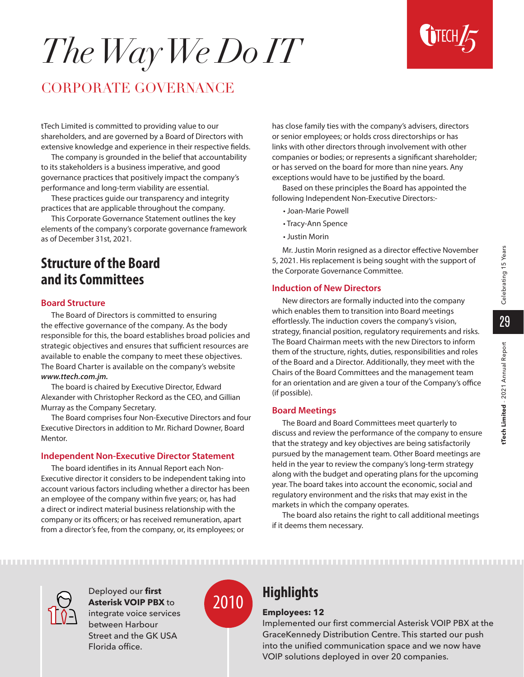# *The Way We Do IT*



# CORPORATE GOVERNANCE

tTech Limited is committed to providing value to our shareholders, and are governed by a Board of Directors with extensive knowledge and experience in their respective fields.

The company is grounded in the belief that accountability to its stakeholders is a business imperative, and good governance practices that positively impact the company's performance and long-term viability are essential.

These practices guide our transparency and integrity practices that are applicable throughout the company.

This Corporate Governance Statement outlines the key elements of the company's corporate governance framework as of December 31st, 2021.

# **Structure of the Board and its Committees**

#### **Board Structure**

The Board of Directors is committed to ensuring the effective governance of the company. As the body responsible for this, the board establishes broad policies and strategic objectives and ensures that sufficient resources are available to enable the company to meet these objectives. The Board Charter is available on the company's website *www.ttech.com.jm.* 

The board is chaired by Executive Director, Edward Alexander with Christopher Reckord as the CEO, and Gillian Murray as the Company Secretary.

The Board comprises four Non-Executive Directors and four Executive Directors in addition to Mr. Richard Downer, Board Mentor.

#### **Independent Non-Executive Director Statement**

The board identifies in its Annual Report each Non-Executive director it considers to be independent taking into account various factors including whether a director has been an employee of the company within five years; or, has had a direct or indirect material business relationship with the company or its officers; or has received remuneration, apart from a director's fee, from the company, or, its employees; or

has close family ties with the company's advisers, directors or senior employees; or holds cross directorships or has links with other directors through involvement with other companies or bodies; or represents a significant shareholder; or has served on the board for more than nine years. Any exceptions would have to be justified by the board.

Based on these principles the Board has appointed the following Independent Non-Executive Directors:-

- Joan-Marie Powell
- Tracy-Ann Spence
- Justin Morin

Mr. Justin Morin resigned as a director effective November 5, 2021. His replacement is being sought with the support of the Corporate Governance Committee.

#### **Induction of New Directors**

New directors are formally inducted into the company which enables them to transition into Board meetings effortlessly. The induction covers the company's vision, strategy, financial position, regulatory requirements and risks. The Board Chairman meets with the new Directors to inform them of the structure, rights, duties, responsibilities and roles of the Board and a Director. Additionally, they meet with the Chairs of the Board Committees and the management team for an orientation and are given a tour of the Company's office (if possible).

#### **Board Meetings**

The Board and Board Committees meet quarterly to discuss and review the performance of the company to ensure that the strategy and key objectives are being satisfactorily pursued by the management team. Other Board meetings are held in the year to review the company's long-term strategy along with the budget and operating plans for the upcoming year. The board takes into account the economic, social and regulatory environment and the risks that may exist in the markets in which the company operates.

The board also retains the right to call additional meetings if it deems them necessary.



Deployed our **first Asterisk VOIP PBX** to integrate voice services between Harbour Street and the GK USA

Florida office.



#### **Employees: 12**

Implemented our first commercial Asterisk VOIP PBX at the GraceKennedy Distribution Centre. This started our push into the unified communication space and we now have VOIP solutions deployed in over 20 companies.

29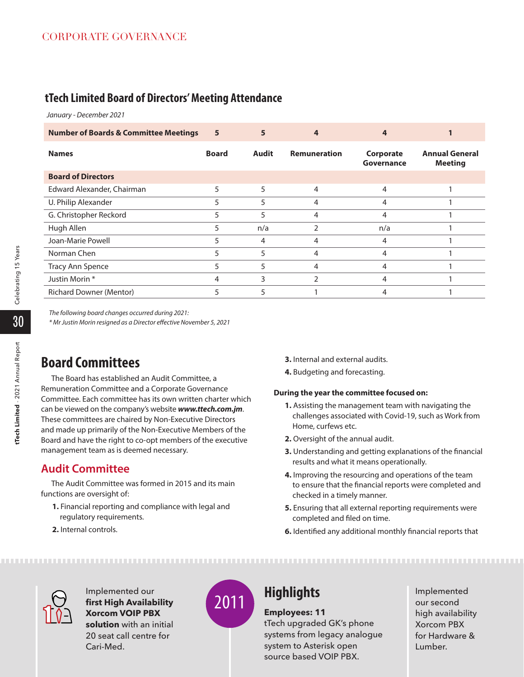# **tTech Limited Board of Directors' Meeting Attendance**

*January - December 2021*

| <b>Number of Boards &amp; Committee Meetings</b> | 5            | 5            |                     |                         |                                         |
|--------------------------------------------------|--------------|--------------|---------------------|-------------------------|-----------------------------------------|
| <b>Names</b>                                     | <b>Board</b> | <b>Audit</b> | <b>Remuneration</b> | Corporate<br>Governance | <b>Annual General</b><br><b>Meeting</b> |
| <b>Board of Directors</b>                        |              |              |                     |                         |                                         |
| Edward Alexander, Chairman                       | 5            | 5            | 4                   | 4                       |                                         |
| U. Philip Alexander                              | 5            | 5            | 4                   | 4                       |                                         |
| G. Christopher Reckord                           | 5            | 5            | 4                   | 4                       |                                         |
| Hugh Allen                                       | 5            | n/a          | 2                   | n/a                     |                                         |
| Joan-Marie Powell                                | 5            | 4            | 4                   | 4                       |                                         |
| Norman Chen                                      | 5            |              | 4                   | 4                       |                                         |
| <b>Tracy Ann Spence</b>                          | 5            | 5            | 4                   | 4                       |                                         |
| Justin Morin *                                   | 4            | 3            | $\overline{2}$      | 4                       |                                         |
| <b>Richard Downer (Mentor)</b>                   | 5            | 5            |                     |                         |                                         |

*The following board changes occurred during 2021:*

*\* Mr Justin Morin resigned as a Director effective November 5, 2021* 

# **Board Committees**

The Board has established an Audit Committee, a Remuneration Committee and a Corporate Governance Committee. Each committee has its own written charter which can be viewed on the company's website *www.ttech.com.jm*. These committees are chaired by Non-Executive Directors and made up primarily of the Non-Executive Members of the Board and have the right to co-opt members of the executive management team as is deemed necessary.

# **Audit Committee**

The Audit Committee was formed in 2015 and its main functions are oversight of:

- **1.** Financial reporting and compliance with legal and regulatory requirements.
- **2.** Internal controls.
- **3.** Internal and external audits.
- **4.** Budgeting and forecasting.

#### **During the year the committee focused on:**

- **1.** Assisting the management team with navigating the challenges associated with Covid-19, such as Work from Home, curfews etc.
- **2.** Oversight of the annual audit.
- **3.** Understanding and getting explanations of the financial results and what it means operationally.
- **4.** Improving the resourcing and operations of the team to ensure that the financial reports were completed and checked in a timely manner.
- **5.** Ensuring that all external reporting requirements were completed and filed on time.
- **6.** Identified any additional monthly financial reports that



Implemented our **first High Availability Xorcom VOIP PBX solution** with an initial 20 seat call centre for Cari-Med.



**Employees: 11**

tTech upgraded GK's phone systems from legacy analogue system to Asterisk open source based VOIP PBX.

Implemented our second high availability Xorcom PBX for Hardware & Lumber.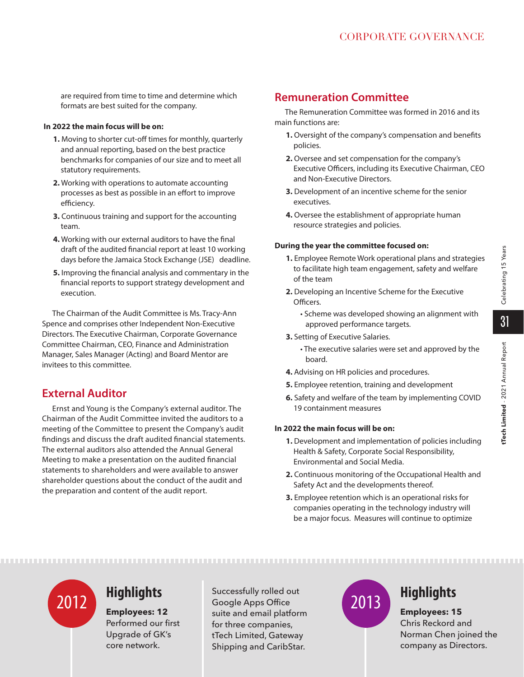are required from time to time and determine which formats are best suited for the company.

#### **In 2022 the main focus will be on:**

- **1.** Moving to shorter cut-off times for monthly, quarterly and annual reporting, based on the best practice benchmarks for companies of our size and to meet all statutory requirements.
- **2.** Working with operations to automate accounting processes as best as possible in an effort to improve efficiency.
- **3.** Continuous training and support for the accounting team.
- **4.** Working with our external auditors to have the final draft of the audited financial report at least 10 working days before the Jamaica Stock Exchange (JSE) deadline.
- **5.** Improving the financial analysis and commentary in the financial reports to support strategy development and execution.

The Chairman of the Audit Committee is Ms. Tracy-Ann Spence and comprises other Independent Non-Executive Directors. The Executive Chairman, Corporate Governance Committee Chairman, CEO, Finance and Administration Manager, Sales Manager (Acting) and Board Mentor are invitees to this committee.

# **External Auditor**

Ernst and Young is the Company's external auditor. The Chairman of the Audit Committee invited the auditors to a meeting of the Committee to present the Company's audit findings and discuss the draft audited financial statements. The external auditors also attended the Annual General Meeting to make a presentation on the audited financial statements to shareholders and were available to answer shareholder questions about the conduct of the audit and the preparation and content of the audit report.

# **Remuneration Committee**

The Remuneration Committee was formed in 2016 and its main functions are:

- **1.** Oversight of the company's compensation and benefits policies.
- **2.** Oversee and set compensation for the company's Executive Officers, including its Executive Chairman, CEO and Non-Executive Directors.
- **3.** Development of an incentive scheme for the senior executives.
- **4.** Oversee the establishment of appropriate human resource strategies and policies.

#### **During the year the committee focused on:**

- **1.** Employee Remote Work operational plans and strategies to facilitate high team engagement, safety and welfare of the team
- **2.** Developing an Incentive Scheme for the Executive Officers.
	- Scheme was developed showing an alignment with approved performance targets.
- **3.** Setting of Executive Salaries.
	- The executive salaries were set and approved by the board.
- **4.** Advising on HR policies and procedures.
- **5.** Employee retention, training and development
- **6.** Safety and welfare of the team by implementing COVID 19 containment measures

#### **In 2022 the main focus will be on:**

- **1.** Development and implementation of policies including Health & Safety, Corporate Social Responsibility, Environmental and Social Media.
- **2.** Continuous monitoring of the Occupational Health and Safety Act and the developments thereof.
- **3.** Employee retention which is an operational risks for companies operating in the technology industry will be a major focus. Measures will continue to optimize

**Employees: 12** Performed our first Upgrade of GK's core network.

Successfully rolled out Google Apps Office suite and email platform for three companies, tTech Limited, Gateway Shipping and CaribStar. **Highlights** Successfully rolled out<br> **Exployees: 12**<br>
2012 **Employees: 12**<br>
2013 **Employees: 12** 



**Employees: 15** Chris Reckord and Norman Chen joined the company as Directors.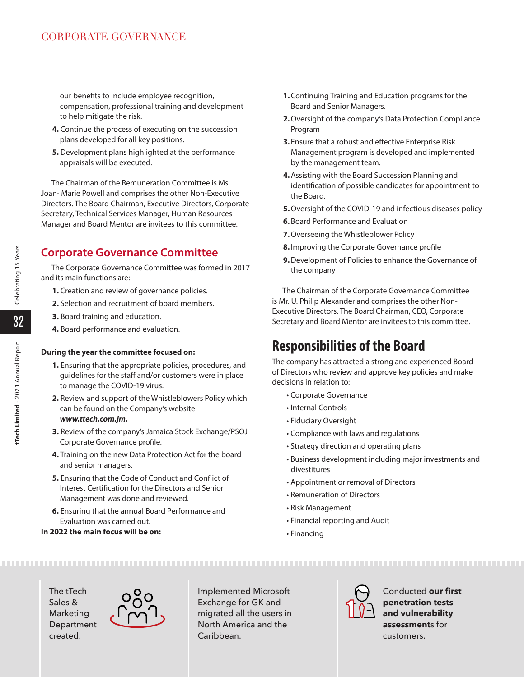our benefits to include employee recognition, compensation, professional training and development to help mitigate the risk.

- **4.** Continue the process of executing on the succession plans developed for all key positions.
- **5.** Development plans highlighted at the performance appraisals will be executed.

The Chairman of the Remuneration Committee is Ms. Joan- Marie Powell and comprises the other Non-Executive Directors. The Board Chairman, Executive Directors, Corporate Secretary, Technical Services Manager, Human Resources Manager and Board Mentor are invitees to this committee.

# **Corporate Governance Committee**

The Corporate Governance Committee was formed in 2017 and its main functions are:

- **1.** Creation and review of governance policies.
- **2.** Selection and recruitment of board members.
- **3.** Board training and education.
- **4.** Board performance and evaluation.

#### **During the year the committee focused on:**

- **1.** Ensuring that the appropriate policies, procedures, and guidelines for the staff and/or customers were in place to manage the COVID-19 virus.
- **2.** Review and support of the Whistleblowers Policy which can be found on the Company's website *www.ttech.com.jm.*
- **3.** Review of the company's Jamaica Stock Exchange/PSOJ Corporate Governance profile.
- **4.** Training on the new Data Protection Act for the board and senior managers.
- **5.** Ensuring that the Code of Conduct and Conflict of Interest Certification for the Directors and Senior Management was done and reviewed.
- **6.** Ensuring that the annual Board Performance and Evaluation was carried out.

### **In 2022 the main focus will be on:**

- **1.**Continuing Training and Education programs for the Board and Senior Managers.
- **2.**Oversight of the company's Data Protection Compliance Program
- **3.** Ensure that a robust and effective Enterprise Risk Management program is developed and implemented by the management team.
- **4.**Assisting with the Board Succession Planning and identification of possible candidates for appointment to the Board.
- **5.**Oversight of the COVID-19 and infectious diseases policy
- **6.**Board Performance and Evaluation
- **7.**Overseeing the Whistleblower Policy
- **8.** Improving the Corporate Governance profile
- **9.**Development of Policies to enhance the Governance of the company

The Chairman of the Corporate Governance Committee is Mr. U. Philip Alexander and comprises the other Non-Executive Directors. The Board Chairman, CEO, Corporate Secretary and Board Mentor are invitees to this committee.

# **Responsibilities of the Board**

The company has attracted a strong and experienced Board of Directors who review and approve key policies and make decisions in relation to:

- Corporate Governance
- Internal Controls
- Fiduciary Oversight
- Compliance with laws and regulations
- Strategy direction and operating plans
- Business development including major investments and divestitures
- Appointment or removal of Directors
- Remuneration of Directors
- Risk Management
- Financial reporting and Audit
- Financing

The tTech Sales & Marketing Department created.



Implemented Microsoft Exchange for GK and migrated all the users in North America and the Caribbean.



Conducted **our first penetration tests and vulnerability assessment**s for customers.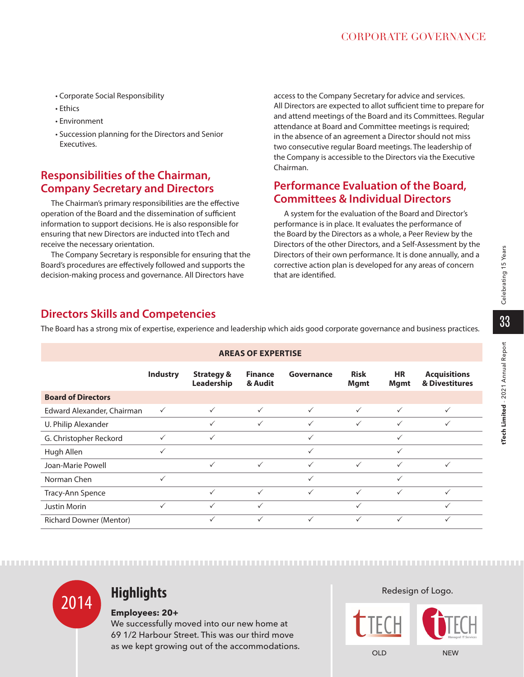- Corporate Social Responsibility
- Ethics
- Environment
- Succession planning for the Directors and Senior Executives.

# **Responsibilities of the Chairman, Company Secretary and Directors**

The Chairman's primary responsibilities are the effective operation of the Board and the dissemination of sufficient information to support decisions. He is also responsible for ensuring that new Directors are inducted into tTech and receive the necessary orientation.

The Company Secretary is responsible for ensuring that the Board's procedures are effectively followed and supports the decision-making process and governance. All Directors have

access to the Company Secretary for advice and services. All Directors are expected to allot sufficient time to prepare for and attend meetings of the Board and its Committees. Regular attendance at Board and Committee meetings is required; in the absence of an agreement a Director should not miss two consecutive regular Board meetings. The leadership of the Company is accessible to the Directors via the Executive Chairman.

# **Performance Evaluation of the Board, Committees & Individual Directors**

A system for the evaluation of the Board and Director's performance is in place. It evaluates the performance of the Board by the Directors as a whole, a Peer Review by the Directors of the other Directors, and a Self-Assessment by the Directors of their own performance. It is done annually, and a corrective action plan is developed for any areas of concern that are identified.

# **Directors Skills and Competencies**

The Board has a strong mix of expertise, experience and leadership which aids good corporate governance and business practices.

| <b>AREAS OF EXPERTISE</b>      |                 |                                     |                           |              |                            |                          |                                       |
|--------------------------------|-----------------|-------------------------------------|---------------------------|--------------|----------------------------|--------------------------|---------------------------------------|
|                                | <b>Industry</b> | <b>Strategy &amp;</b><br>Leadership | <b>Finance</b><br>& Audit | Governance   | <b>Risk</b><br><b>Mgmt</b> | <b>HR</b><br><b>Mgmt</b> | <b>Acquisitions</b><br>& Divestitures |
| <b>Board of Directors</b>      |                 |                                     |                           |              |                            |                          |                                       |
| Edward Alexander, Chairman     | $\checkmark$    | $\checkmark$                        | $\checkmark$              | $\checkmark$ | $\checkmark$               | $\checkmark$             | $\checkmark$                          |
| U. Philip Alexander            |                 | $\checkmark$                        | $\checkmark$              | $\checkmark$ | $\checkmark$               | $\checkmark$             | $\checkmark$                          |
| G. Christopher Reckord         | $\checkmark$    | $\checkmark$                        |                           | $\checkmark$ |                            | $\checkmark$             |                                       |
| Hugh Allen                     | $\checkmark$    |                                     |                           | $\checkmark$ |                            | $\checkmark$             |                                       |
| Joan-Marie Powell              |                 | $\checkmark$                        | $\checkmark$              | $\checkmark$ | $\checkmark$               | $\checkmark$             | $\checkmark$                          |
| Norman Chen                    | $\checkmark$    |                                     |                           | $\checkmark$ |                            | $\checkmark$             |                                       |
| Tracy-Ann Spence               |                 | $\checkmark$                        | $\checkmark$              | $\checkmark$ | $\checkmark$               | $\checkmark$             | $\checkmark$                          |
| <b>Justin Morin</b>            | $\checkmark$    | $\checkmark$                        | $\checkmark$              |              | $\checkmark$               |                          | $\checkmark$                          |
| <b>Richard Downer (Mentor)</b> |                 | ✓                                   | ✓                         | $\checkmark$ | $\checkmark$               | $\checkmark$             | $\checkmark$                          |



### **Employees: 20+**

We successfully moved into our new home at 69 1/2 Harbour Street. This was our third move as we kept growing out of the accommodations. Redesign of Logo.



Celebrating 15 Years **tTech Limited** - 2021 Annual Report Celebrating 15 Years 33 Tech Limited - 2021 Annual Report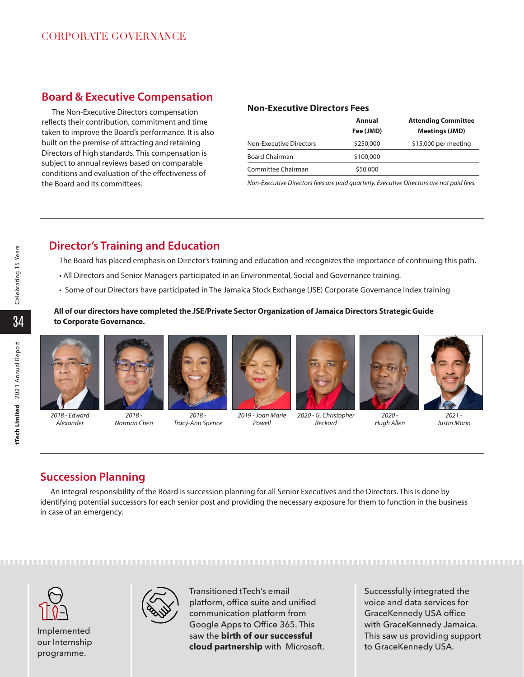# **Board & Executive Compensation**

The Non-Executive Directors compensation reflects their contribution, commitment and time taken to improve the Board's performance. It is also built on the premise of attracting and retaining Directors of high standards. This compensation is subject to annual reviews based on comparable conditions and evaluation of the effectiveness of the Board and its committees.

#### **Non-Executive Directors Fees**

|                         | Annual<br>Fee (JMD) | <b>Attending Committee</b><br><b>Meetings (JMD)</b> |
|-------------------------|---------------------|-----------------------------------------------------|
| Non-Executive Directors | \$250,000           | \$15,000 per meeting                                |
| <b>Board Chairman</b>   | \$100,000           |                                                     |
| Committee Chairman      | \$50,000            |                                                     |

*Non-Executive Directors fees are paid quarterly. Executive Directors are not paid fees.*

# **Director's Training and Education**

The Board has placed emphasis on Director's training and education and recognizes the importance of continuing this path.

- All Directors and Senior Managers participated in an Environmental, Social and Governance training.
- Some of our Directors have participated in The Jamaica Stock Exchange (JSE) Corporate Governance Index training

#### **All of our directors have completed the JSE/Private Sector Organization of Jamaica Directors Strategic Guide to Corporate Governance.**





*2018 - Norman Chen*



*2018 - Tracy-Ann Spence*



*2019 - Joan Marie Powell*



*2020 - G. Christopher Reckord*



*Hugh Allen* 

*2021 - Justin Morin*

## **Succession Planning**

An integral responsibility of the Board is succession planning for all Senior Executives and the Directors. This is done by identifying potential successors for each senior post and providing the necessary exposure for them to function in the business in case of an emergency.

Implemented our Internship programme.



Transitioned tTech's email platform, office suite and unified communication platform from Google Apps to Office 365. This saw the **birth of our successful cloud partnership** with Microsoft.

Successfully integrated the voice and data services for GraceKennedy USA office with GraceKennedy Jamaica. This saw us providing support to GraceKennedy USA.